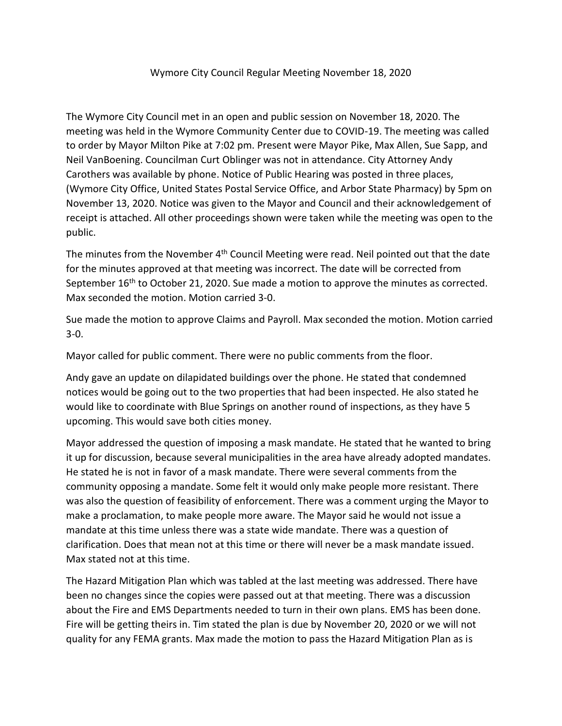## Wymore City Council Regular Meeting November 18, 2020

The Wymore City Council met in an open and public session on November 18, 2020. The meeting was held in the Wymore Community Center due to COVID-19. The meeting was called to order by Mayor Milton Pike at 7:02 pm. Present were Mayor Pike, Max Allen, Sue Sapp, and Neil VanBoening. Councilman Curt Oblinger was not in attendance. City Attorney Andy Carothers was available by phone. Notice of Public Hearing was posted in three places, (Wymore City Office, United States Postal Service Office, and Arbor State Pharmacy) by 5pm on November 13, 2020. Notice was given to the Mayor and Council and their acknowledgement of receipt is attached. All other proceedings shown were taken while the meeting was open to the public.

The minutes from the November  $4<sup>th</sup>$  Council Meeting were read. Neil pointed out that the date for the minutes approved at that meeting was incorrect. The date will be corrected from September 16<sup>th</sup> to October 21, 2020. Sue made a motion to approve the minutes as corrected. Max seconded the motion. Motion carried 3-0.

Sue made the motion to approve Claims and Payroll. Max seconded the motion. Motion carried 3-0.

Mayor called for public comment. There were no public comments from the floor.

Andy gave an update on dilapidated buildings over the phone. He stated that condemned notices would be going out to the two properties that had been inspected. He also stated he would like to coordinate with Blue Springs on another round of inspections, as they have 5 upcoming. This would save both cities money.

Mayor addressed the question of imposing a mask mandate. He stated that he wanted to bring it up for discussion, because several municipalities in the area have already adopted mandates. He stated he is not in favor of a mask mandate. There were several comments from the community opposing a mandate. Some felt it would only make people more resistant. There was also the question of feasibility of enforcement. There was a comment urging the Mayor to make a proclamation, to make people more aware. The Mayor said he would not issue a mandate at this time unless there was a state wide mandate. There was a question of clarification. Does that mean not at this time or there will never be a mask mandate issued. Max stated not at this time.

The Hazard Mitigation Plan which was tabled at the last meeting was addressed. There have been no changes since the copies were passed out at that meeting. There was a discussion about the Fire and EMS Departments needed to turn in their own plans. EMS has been done. Fire will be getting theirs in. Tim stated the plan is due by November 20, 2020 or we will not quality for any FEMA grants. Max made the motion to pass the Hazard Mitigation Plan as is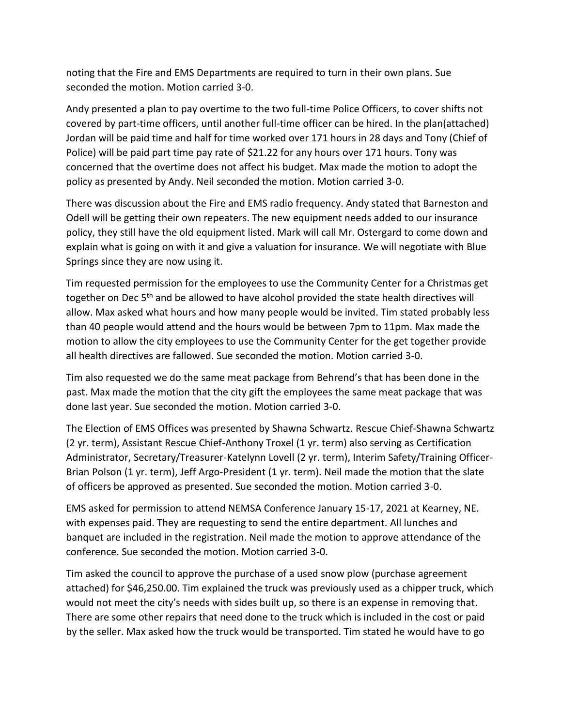noting that the Fire and EMS Departments are required to turn in their own plans. Sue seconded the motion. Motion carried 3-0.

Andy presented a plan to pay overtime to the two full-time Police Officers, to cover shifts not covered by part-time officers, until another full-time officer can be hired. In the plan(attached) Jordan will be paid time and half for time worked over 171 hours in 28 days and Tony (Chief of Police) will be paid part time pay rate of \$21.22 for any hours over 171 hours. Tony was concerned that the overtime does not affect his budget. Max made the motion to adopt the policy as presented by Andy. Neil seconded the motion. Motion carried 3-0.

There was discussion about the Fire and EMS radio frequency. Andy stated that Barneston and Odell will be getting their own repeaters. The new equipment needs added to our insurance policy, they still have the old equipment listed. Mark will call Mr. Ostergard to come down and explain what is going on with it and give a valuation for insurance. We will negotiate with Blue Springs since they are now using it.

Tim requested permission for the employees to use the Community Center for a Christmas get together on Dec 5<sup>th</sup> and be allowed to have alcohol provided the state health directives will allow. Max asked what hours and how many people would be invited. Tim stated probably less than 40 people would attend and the hours would be between 7pm to 11pm. Max made the motion to allow the city employees to use the Community Center for the get together provide all health directives are fallowed. Sue seconded the motion. Motion carried 3-0.

Tim also requested we do the same meat package from Behrend's that has been done in the past. Max made the motion that the city gift the employees the same meat package that was done last year. Sue seconded the motion. Motion carried 3-0.

The Election of EMS Offices was presented by Shawna Schwartz. Rescue Chief-Shawna Schwartz (2 yr. term), Assistant Rescue Chief-Anthony Troxel (1 yr. term) also serving as Certification Administrator, Secretary/Treasurer-Katelynn Lovell (2 yr. term), Interim Safety/Training Officer-Brian Polson (1 yr. term), Jeff Argo-President (1 yr. term). Neil made the motion that the slate of officers be approved as presented. Sue seconded the motion. Motion carried 3-0.

EMS asked for permission to attend NEMSA Conference January 15-17, 2021 at Kearney, NE. with expenses paid. They are requesting to send the entire department. All lunches and banquet are included in the registration. Neil made the motion to approve attendance of the conference. Sue seconded the motion. Motion carried 3-0.

Tim asked the council to approve the purchase of a used snow plow (purchase agreement attached) for \$46,250.00. Tim explained the truck was previously used as a chipper truck, which would not meet the city's needs with sides built up, so there is an expense in removing that. There are some other repairs that need done to the truck which is included in the cost or paid by the seller. Max asked how the truck would be transported. Tim stated he would have to go